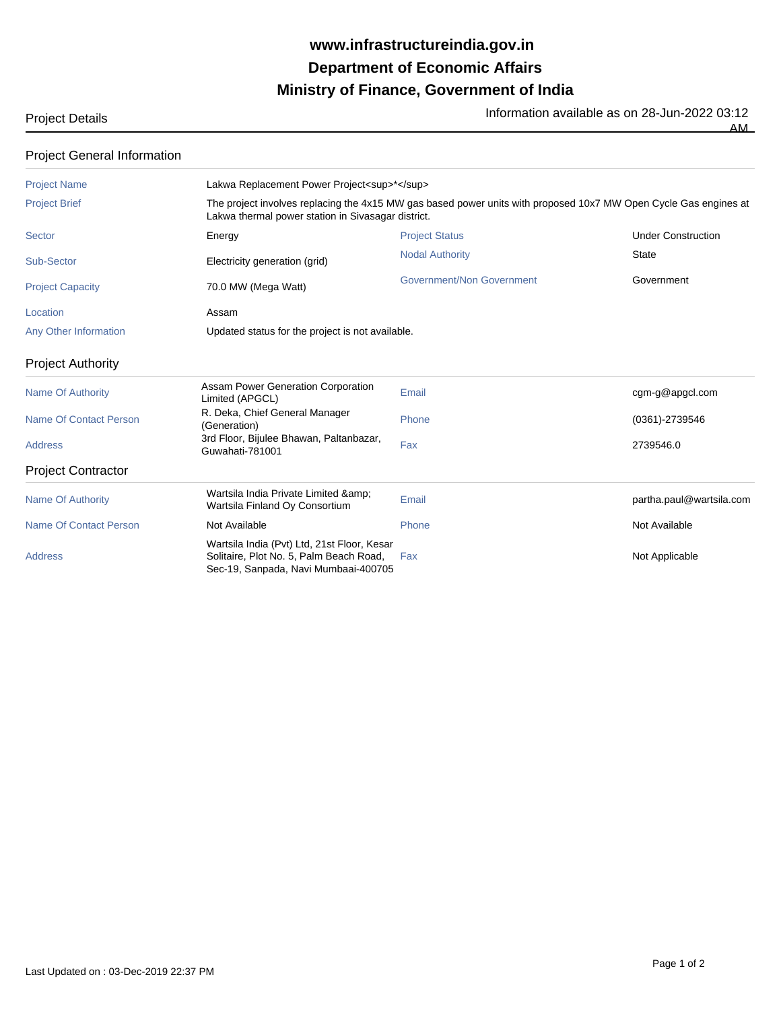## **Ministry of Finance, Government of India Department of Economic Affairs www.infrastructureindia.gov.in**

Project Details<br>AM AM

| <b>Project General Information</b> |                                                                                                                                                                        |                                  |                           |  |  |  |
|------------------------------------|------------------------------------------------------------------------------------------------------------------------------------------------------------------------|----------------------------------|---------------------------|--|--|--|
| <b>Project Name</b>                | Lakwa Replacement Power Project <sup>*</sup>                                                                                                                           |                                  |                           |  |  |  |
| <b>Project Brief</b>               | The project involves replacing the 4x15 MW gas based power units with proposed 10x7 MW Open Cycle Gas engines at<br>Lakwa thermal power station in Sivasagar district. |                                  |                           |  |  |  |
| Sector                             | Energy                                                                                                                                                                 | <b>Project Status</b>            | <b>Under Construction</b> |  |  |  |
| Sub-Sector                         | Electricity generation (grid)                                                                                                                                          | <b>Nodal Authority</b>           | <b>State</b>              |  |  |  |
| <b>Project Capacity</b>            | 70.0 MW (Mega Watt)                                                                                                                                                    | <b>Government/Non Government</b> | Government                |  |  |  |
| Location                           | Assam                                                                                                                                                                  |                                  |                           |  |  |  |
| Any Other Information              | Updated status for the project is not available.                                                                                                                       |                                  |                           |  |  |  |
| <b>Project Authority</b>           |                                                                                                                                                                        |                                  |                           |  |  |  |
| <b>Name Of Authority</b>           | Assam Power Generation Corporation<br>Limited (APGCL)                                                                                                                  | Email                            | cgm-g@apgcl.com           |  |  |  |
| <b>Name Of Contact Person</b>      | R. Deka, Chief General Manager<br>(Generation)                                                                                                                         | Phone                            | $(0361) - 2739546$        |  |  |  |
| <b>Address</b>                     | 3rd Floor, Bijulee Bhawan, Paltanbazar,<br>Guwahati-781001                                                                                                             | Fax                              | 2739546.0                 |  |  |  |
| <b>Project Contractor</b>          |                                                                                                                                                                        |                                  |                           |  |  |  |
| <b>Name Of Authority</b>           | Wartsila India Private Limited & amp;<br>Wartsila Finland Oy Consortium                                                                                                | Email                            | partha.paul@wartsila.com  |  |  |  |
| <b>Name Of Contact Person</b>      | Not Available                                                                                                                                                          | Phone                            | Not Available             |  |  |  |
| <b>Address</b>                     | Wartsila India (Pvt) Ltd, 21st Floor, Kesar<br>Solitaire, Plot No. 5, Palm Beach Road,<br>Sec-19, Sanpada, Navi Mumbaai-400705                                         | Fax                              | Not Applicable            |  |  |  |